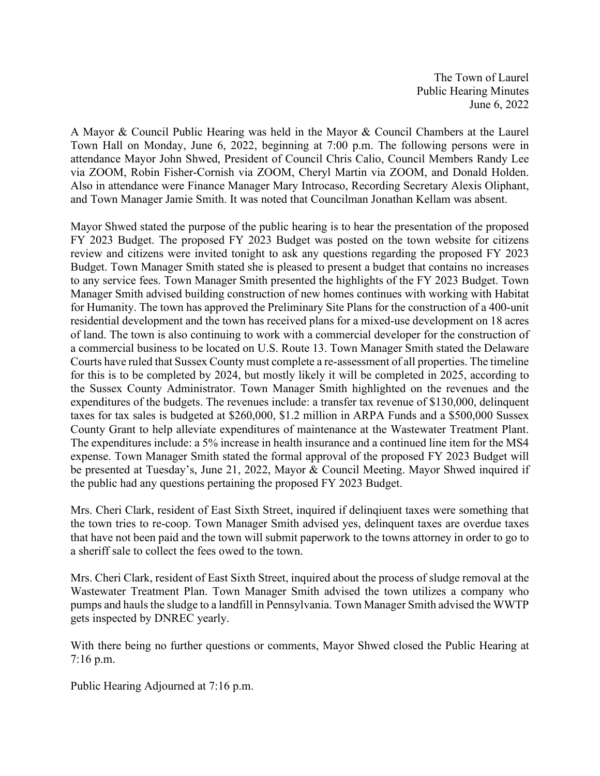The Town of Laurel Public Hearing Minutes June 6, 2022

A Mayor & Council Public Hearing was held in the Mayor & Council Chambers at the Laurel Town Hall on Monday, June 6, 2022, beginning at 7:00 p.m. The following persons were in attendance Mayor John Shwed, President of Council Chris Calio, Council Members Randy Lee via ZOOM, Robin Fisher-Cornish via ZOOM, Cheryl Martin via ZOOM, and Donald Holden. Also in attendance were Finance Manager Mary Introcaso, Recording Secretary Alexis Oliphant, and Town Manager Jamie Smith. It was noted that Councilman Jonathan Kellam was absent.

Mayor Shwed stated the purpose of the public hearing is to hear the presentation of the proposed FY 2023 Budget. The proposed FY 2023 Budget was posted on the town website for citizens review and citizens were invited tonight to ask any questions regarding the proposed FY 2023 Budget. Town Manager Smith stated she is pleased to present a budget that contains no increases to any service fees. Town Manager Smith presented the highlights of the FY 2023 Budget. Town Manager Smith advised building construction of new homes continues with working with Habitat for Humanity. The town has approved the Preliminary Site Plans for the construction of a 400-unit residential development and the town has received plans for a mixed-use development on 18 acres of land. The town is also continuing to work with a commercial developer for the construction of a commercial business to be located on U.S. Route 13. Town Manager Smith stated the Delaware Courts have ruled that Sussex County must complete a re-assessment of all properties. The timeline for this is to be completed by 2024, but mostly likely it will be completed in 2025, according to the Sussex County Administrator. Town Manager Smith highlighted on the revenues and the expenditures of the budgets. The revenues include: a transfer tax revenue of \$130,000, delinquent taxes for tax sales is budgeted at \$260,000, \$1.2 million in ARPA Funds and a \$500,000 Sussex County Grant to help alleviate expenditures of maintenance at the Wastewater Treatment Plant. The expenditures include: a 5% increase in health insurance and a continued line item for the MS4 expense. Town Manager Smith stated the formal approval of the proposed FY 2023 Budget will be presented at Tuesday's, June 21, 2022, Mayor & Council Meeting. Mayor Shwed inquired if the public had any questions pertaining the proposed FY 2023 Budget.

Mrs. Cheri Clark, resident of East Sixth Street, inquired if delinqiuent taxes were something that the town tries to re-coop. Town Manager Smith advised yes, delinquent taxes are overdue taxes that have not been paid and the town will submit paperwork to the towns attorney in order to go to a sheriff sale to collect the fees owed to the town.

Mrs. Cheri Clark, resident of East Sixth Street, inquired about the process of sludge removal at the Wastewater Treatment Plan. Town Manager Smith advised the town utilizes a company who pumps and hauls the sludge to a landfill in Pennsylvania. Town Manager Smith advised the WWTP gets inspected by DNREC yearly.

With there being no further questions or comments, Mayor Shwed closed the Public Hearing at 7:16 p.m.

Public Hearing Adjourned at 7:16 p.m.